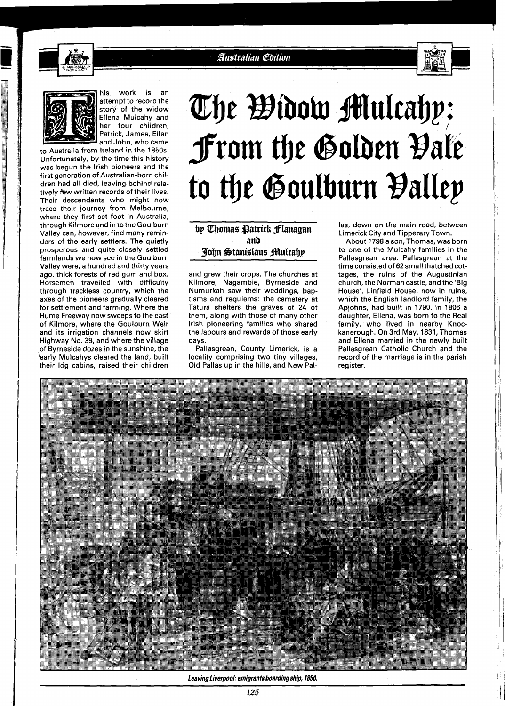

**Australian Edition** 





his work is an attempt to record the story of the widow Ellena Mulcahy and her four children, Patrick, James, Ellen and John, who came

to Australia from Ireland in the 1850s. Unfortunately, by the time this history was begun the lrish pioneers and the first generation of Australian-born children had all died, leaving behind relatively few written records of their lives. Their descendants who might now trace their journey from Melbourne, where they first set foot in Australia, through Kilmore and in to the Goulburn Valley can, however, find many reminders of the early settlers. The quietly prosperous and quite closely settled farmlands we now see in the Goulburn Valley were, a hundred and thirty years ago, thick forests of red gum and box. Horsemen travelled with difficulty through trackless country, which the axes of the pioneers gradually cleared for settlement and farming. Where the Hume Freeway now sweeps to the east of Kilmore, where the Goulburn Weir and its irrigation channels now skirt Highway No. 39, and where the village of Byrneside dozes in the sunshine, the 'early Mulcahys cleared the land, built their log cabins, raised their children

## The Widow Multahy: From the Golden Vale to the Goulburn Balley

John Stanislaus Multahy

and grew their crops. The churches at Kilmore, Nagambie, Byrneside and Numurkah saw their weddings, baptisms and requiems: the cemetery at Tatura shelters the graves of 24 of them, along with those of many other lrish pioneering families who shared the labours and rewards of those early days.

Pallasgrean, County Limerick, is a locality comprising two tiny villages, Old Pallas up in the hills, and New Pal-

**bp Chomas Datrick flanagan** las, down on the main road, between Limerick City and Tipperary Town.

**anb** About 1798 a son, Thomas, was born to one of the Mulcahy families in the Pallasgrean area. Pallasgrean at the time consisted of **62** small thatched cottages, the ruins of the Augustinian church, the Norman castle, and the 'Big House', Linfield House, now in ruins, which the English landlord family, the Apjohns, had built in 1790. In 1806 a daughter, Ellena, was born to the Real family, who lived in nearby Knockanerough. On 3rd May, 1831, Thomas and Ellena married in the newly built Pallasgrean Catholic Church and the record of the marriage is in the parish register.



**Leaving Liverpool: emigrants boarding ship, 1850.**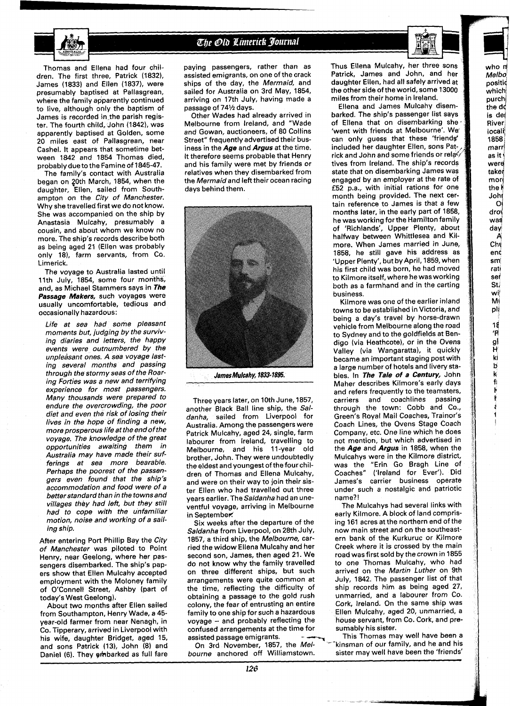

## The Old Limerick Journal





Melboi positi( which<br>purch

is de/ **River** locali 1858 marr) as it ' were taker<br>mort

the do

the k<br>Johr

 $\Omega$ droj

was day **A'**  Chq enć S m' rati set St, wif M **<sup>1</sup>** plį 18 'R 91 H kl **B k**   $\mathbf f$ **I.** 

Thomas and Ellena had four children. The first three, Patrick (1832). James (1833) and Ellen (1837), were presumably baptised at Pallasgrean, where the family apparently continued to live, although only the baptism of James is recorded in the parish register. The fourth child, John (1842), was apparently baptised at Golden, some 20 miles east of Pallasgrean, near Cashel. It appears that sometime between 1842 and 1854 Thomas died, probably due to the Famine of 1845-47.

The family's contact with Australia began on 20th March, 1854, when the daughter, Ellen, sailed from Southampton on the City of Manchester. Why she travelled first we do not know. She was accompanied on the ship by Anastasia Mulcahy, presumably a cousin, and about whom we know no more. The ship's records describe both as being aged 21 (Ellen was probably only 18), farm servants, from CO. Limerick.

The voyage to Australia lasted until 11th July, 1854, some four months, and, as Michael Stammers says in **The Passage Makers,** such voyages were usually uncomfortable, tedious and occasionally hazardous:

Life at sea had some pleasant moments but, judging by the surviving diaries and letters, the happy events were outnumbered by the unpleasant ones. A sea voyage lasting several months and passing through the stormy seas of the Roaring Forties was a new and terrifying experience for most passengers. Many thousands were prepared to endure the overcrowding, the poor diet and even the risk of losing their lives in the hope of finding a new, more prosperous life at the end of the voyage. The knowledge of the great opportunities awaiting them in Australia may have made their sufferings at sea more bearable. Perhaps the poorest of the passengers even found that the ship's accommodation and food were of a better standard than in the towns and villages they had left, but they still had to cope with the unfamiliar motion, noise and working of a sailing ship.

After entering Port Phillip Bay the City of Manchester was piloted to Point Henry, near Geelong, where her passengers disembarked. The ship's papers show that Ellen Mulcahy accepted employment with the Moloney family of O'Connell Street, Ashby (part of today's West Geelong).

About two months after Ellen sailed from Southampton, Henry Wade, a 45 year-old farmer from near Nenagh, in Co. Tipperary, arrived in Liverpool with his wife, daughter Bridget, aged 15, and sons Patrick (13), John (8) and Daniel (6). They embarked as full fare

paying passengers, rather than as assisted emigrants, on one of the crack ships of the day, the Mermaid, and sailed for Australia on 3rd May, 1854, arriving on 17th July, having made a passage of 741/2 days.

Other Wades had already arrived in Melbourne from Ireland, and "Wade and Gowan, auctioneers, of 80 Collins Street" frequently advertised their business in the **Age** and **Argus** at the time. It therefore seems probable that Henry and his family were met by friends or relatives when they disembarked from the Mermaid and left their ocean racing days behind them.



**James Mulcahy, 1833- 1895.** 

Three years later, on 10th June, 1857, another Black Ball line ship, the Saldanha, sailed from Liverpool for Australia. Among the passengers were Patrick Mulcahy, aged 24, single, farm labourer from Ireland, travelling to Melbourne, and his 11-year old brother, John. They were undoubtedly the eldest and youngest of the four children of Thomas and Ellena Mulcahy, and were on their way to join their sister Ellen who had travelled out three years earlier. The Saldanha had an uneventful voyage, arriving in Melbourne in September.

Six weeks after the departure of the Saldanha from Liverpool, on 28th July, 1857, a third ship, the Melbourne, carried the widow Ellena Mulcahy and her second son, James, then aged 21. We do not know why the family travelled on three different ships, but such arrangements were quite common at the time, reflecting the difficulty of obtaining a passage to the gold rush colony, the fear of entrusting an entire famiiy to one ship for such a hazardous voyage - and probably reflecting the confused arrangements at the time for<br>assisted passage emigrants.

bourne anchored off Williamstown.

Thus Ellena Mulcahy, her three sons Patrick, James and John, and her daughter Ellen, had all safely arrived at the other side of the world, some 13000 miles from their home in Ireland.

Ellena and James Mulcahy disem barked. The ship's passenger list says of Ellena that on disembarking she 'went with friends at Melbourne'. We can only guess that these 'friends' included her daughter Ellen, sons Patrick and John and some friends or tives from Ireland. The ship's records state that on disembarking James was engaged by an employer at the rate of E52 p.a., with initial rations for one month being provided. The next certain reference to James is that a few months later, in the early part of 1858, he was working for the Hamilton family of 'Richlands', Upper Plenty, about halfway between Whittlesea and Kilmore. When James married in June, 1858, he still gave his address as 'Upper Plenty', but by April, 1859, when his first child was born, he had moved to Kilmore itself, where he wasworking both as a farmhand and in the carting business.

Kilmore was one of the earlier inland towns to be established in Victoria, and being a day's travel by horse-drawn vehicle from Melbourne along the road to Sydney and to the goldfields at Bendig0 (via Heathcote), or in the Ovens Valley (via Wangaratta), it quickly became an important staging post with a large number of hotels and livery stables. In **The Tale** of **a Century,** John Maher describes Kilmore's early days and refers frequently to the teamsters,<br>carriers and coachlines passing and coachlines passing through the town: Cobb and Co., Green's Royal Mail Coaches, Trainor's Coach Lines, the Ovens Stage Coach Company, etc. One line which he does not mention, but which advertised in the **Age** and **Argus** in 1858, when the Mulcahys were in the Kilmore district,<br>was the "Erin Go Bragh Line of was the "Erin Go Bragh Line of<br>Coaches" ('Ireland for Ever'). Did ('Ireland for Ever'). Did James's carrier business operate under such a nostalgic and patriotic name?!

The Mulcahys had several links with early Kilmore. A block of land comprising 161 acres at the northern end of the now main street and on the southeastern bank of the Kurkuruc or Kilmore Creek where it is crossed by the main road was first sold by the crown in 1855 to one Thomas Mulcahy, who had arrived on the Martin Luther on 9th July, 1842. The passenger list of that ship records him as being aged 27, unmarried, and a labourer from Co. Cork, Ireland. On the same ship was Ellen Mulcahy, aged 20, unmarried, a house servant, from Co. Cork, and presumably his sister.

isisted passage emigrants.<br>On 3rd November, 1857, the Mel-<br>Kinsman of our family, and he and his kinsman of our family, and he and his<br>sister may well have been the 'friends'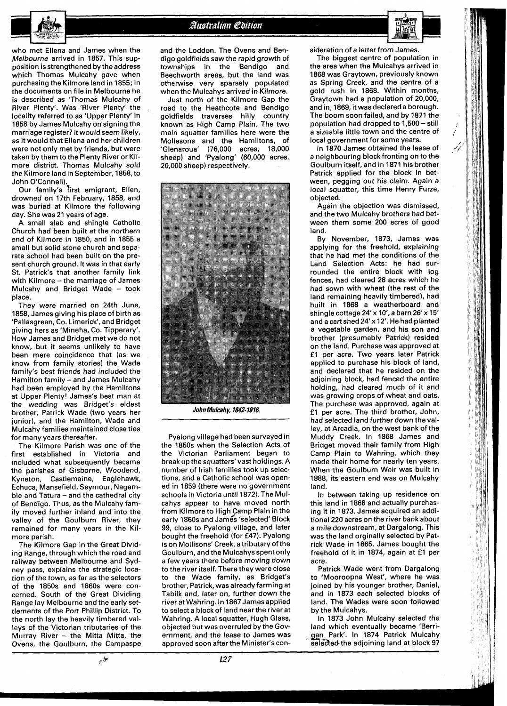

Australian Edition

who met Ellena and James when the Melbourne arrived in 1857. This supposition is strengthened by the address which Thomas Mulcahy gave when purchasing the Kilmore land in 1855; in the documents on file in Melbourne he is described as 'Thomas Mulcahy of River Plenty'. Was 'River Plenty' the locality referred to as 'Upper Plenty' in 1858 by James Mulcahy on signing the marriage register? It would seem likely, as it would that Ellena and her children were not only met by friends, but were taken by them to the Plenty River or Kilmore district. Thomas Mulcahy sold the Kilmore land in September, 1858, to John O'Connell).

Our family's first emigrant, Ellen, drowned on 17th February, 1858, and was buried at Kilmore the following day. She was 21 years of age.

A small slab and shingle Catholic Church had been built at the northern end of Kilmore in 1850, and in 1855 a small but solid stone church and separate school had been built on the present church ground. It was in that early St. Patrick's that another family link with Kilmore - the marriage of James Mulcahy and Bridget Wade - took place.

They were married on 24th June, 1858, James giving his place of birth as 'Pallasgrean, Co. Limerick', and Bridget giving hers as 'Mineha, Co. Tipperary'. How James and Bridget met we do not know, but it seems unlikely to have been mere coincidence that (as we know from family stories) the Wade family's best friends had included the Hamilton family - and James Mulcahy had been employed by the Hamiltons at Upper Plenty! James's best man at the wedding was Bridget's eldest brother, Patrisk Wade (two years her junior), and the Hamilton, Wade and Mulcahy families maintained close ties for many years thereafter.

The Kilmore Parish was one of the first established in Victoria and included what subsequently became the parishes of Gisborne, Woodend, Kyneton, Castlemaine, Eaglehawk, Echuca, Mansefield, Seymour, Nagambie and Tatura - and the cathedral city of Bendigo. Thus, as the Mulcahy family moved further inland and into the valley of the Goulburn River, they remained for many years in the Kilmore parish.

The Kilmore Gap in the Great Dividing Range, through which the road and railway between Melbourne and Sydney pass, explains the strategic location of the town, as far as the selectors of the 1850s and 1860s were concerned. South of the Great Dividing Range lay Melbourne and the early settlements of the Port Phillip District. To the north lay the heavily timbered valleys of the Victorian tributaries of the Murray River - the Mitta Mitta, the Ovens, the Goulburn, the Campaspe

په <sub>ش</sub>

and the Loddon. The Ovens and Bendig0 goldfields saw the rapid growth of townships in the Bendigo and Beechworth areas, but the land was otherwise very sparsely populated when the Mulcahys arrived in Kilmore.

Just north of the Kilmore Gap the road to the Heathcote and Bendigo goldfields traverses hilly country known as High Camp Plain. The two main squatter families here were the Mollesons and the Hamiltons, of<br>'Glenaroua' (76,000 acres, 18,000 (76,000 acres, 18,000 sheep) and 'Pyalong' (60,000 acres, 20,000 sheep) respectively.



**John Mulcahy,** *l&'-* **1916** 

Pyalong village had been surveyed in the 1850s when the Selection Acts of the Victorian Parliament began to break up the squatters' vast holdings. A number of Irish families took up selections, and a Catholic school was opened in 1859 (there were no government schools in Victoria until 1872). The Mulcahys appear to have moved north from Kilmore to High Camp Plain in the early 1860s and James 'selected' Block 99, close to Pyalong village, and later bought the freehold (for £47). Pyalong is on Mollisons' Creek, a tributary of the Goulburn, and the Mulcahysspentonly a few years there before moving down to the river itself. There they were close to the Wade family, as Bridget's brother, Patrick, was already farming at Tabilk and, later on, further down the river at Wahring. In 1867 James applied to select a block of land near the river at Wahring. A local squatter, Hugh Glass, objected but was overruled by the Government, and the lease to James was approved soon after the Minister's con-

 $127$ 

and in, 1869, it was declared a borough. The boom soon failed, and by 1871 the population had dropped to 1,500 - still a sizeable little town and the centre of local government for some years. In 1870 James obtained the lease of a neighbouring block fronting on to the Goulburn itself, and in 1871 his brother Patrick applied for the block in between, pegging out his claim. Again a local squatter, this time Henry Furze, objected. Again the objection was dismissed, and the two Mulcahy brothers had between them some 200 acres of good land.

sideration of a letter from James. The biggest centre of population in the area when the Mulcahys arrived in 1868 was Graytown, previously known as Spring Creek, and the centre of a gold rush in 1868. Within months, Graytown had a population of 20,000,

By November, 1873, James was applying for the freehold, explaining that he had met the conditions of the Land Selection Acts: he had surrounded the entire block with log fences, had cleared 28 acres which he had sown with wheat (the rest of the land remaining heavily timbered), had built in 1868 a weatherboard and shingle cottage 24'x 10', a barn26'x 15' and a cart shed 24'x 12'. He had planted a vegetable garden, and his son and brother (presumably Patrick) resided on the land. Purchase was approved at £1 per acre. Two years later Patrick applied to purchase his block of land, and declared that he resided on the adjoining block, had fenced the entire holding, had cleared much of it and was growing crops of wheat and oats. The purchase was approved, again at £1 per acre. The third brother, John, had selected land further down the valley, at Arcadia, on the west bank of the Muddy Creek. In 1868 James and Bridget moved their family from High Camp Plain to Wahring, which they made their home for nearly ten years. When the Goulburn Weir was built in 1888, its eastern end was on Mulcahy land.

In between taking up residence on this land in 1868 and actually purchasing it in 1873, James acquired an additional 220 acres on the river bank about a mile downstream, at Dargalong. This was the land orginally selected by Patrick Wade in 1865. James bought the freehold of it in 1874, again at £1 per acre.

Patrick Wade went from Dargalong to 'Mooroopna West', where he was joined by his younger brother, Daniel, and in 1873 each selected blocks of land. The Wades were soon followed by the Mulcahys.

In 1873 John Mulcahy selected the land which eventually became 'Berrigan Park'. In 1874 Patrick Mulcahy<br>selected the adjoining land at block 97